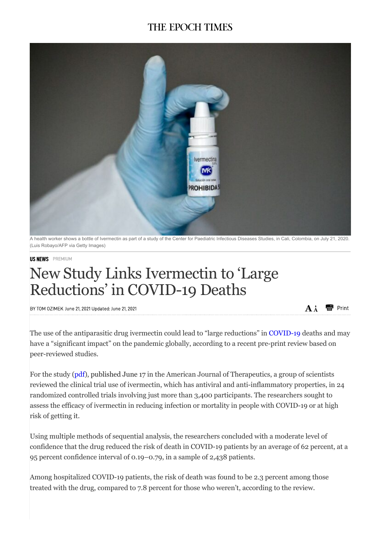## **THE EPOCH TIMES**



A health worker shows a bottle of Ivermectin as part of a study of the Center for Paediatric Infectious Diseases Studies, in Cali, Colombia, on July 21, 2020. (Luis Robayo/AFP via Getty Images)

## **US NEWS** PREMIUM

## New Study Links Ivermectin to 'Large Reductions' in COVID-19 Deaths

BY TOM OZIMEK June 21 2021 Undated: June 21 2021

The use of the antiparasitic drug ivermectin could lead to "large reductions" in COVID-19 deaths and may have a "significant impact" on the pandemic globally, according to a recent pre-print review based on peer-reviewed studies.

 $\mathbf{A} \mathbf{A}$ 

Print

For the study (pdf), published June 17 in the American Journal of Therapeutics, a group of scientists reviewed the clinical trial use of ivermectin, which has antiviral and anti-inflammatory properties, in 24 randomized controlled trials involving just more than 3,400 participants. The researchers sought to assess the efficacy of ivermectin in reducing infection or mortality in people with COVID-19 or at high risk of getting it.

Using multiple methods of sequential analysis, the researchers concluded with a moderate level of confidence that the drug reduced the risk of death in COVID-19 patients by an average of 62 percent, at a 95 percent confidence interval of 0.19–0.79, in a sample of 2,438 patients.

Among hospitalized COVID-19 patients, the risk of death was found to be 2.3 percent among those treated with the drug, compared to 7.8 percent for those who weren't, according to the review.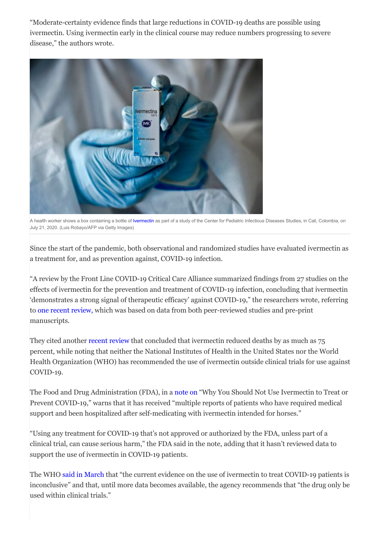"Moderate-certainty evidence finds that large reductions in COVID-19 deaths are possible using ivermectin. Using ivermectin early in the clinical course may reduce numbers progressing to severe disease," the authors wrote.



A health worker shows a box containing a bottle of Ivermectin as part of a study of the Center for Pediatric Infectious Diseases Studies, in Cali, Colombia, on July 21, 2020. (Luis Robayo/AFP via Getty Images)

Since the start of the pandemic, both observational and randomized studies have evaluated ivermectin as a treatment for, and as prevention against, COVID-19 infection.

"A review by the Front Line COVID-19 Critical Care Alliance summarized findings from 27 studies on the effects of ivermectin for the prevention and treatment of COVID-19 infection, concluding that ivermectin 'demonstrates a strong signal of therapeutic efficacy' against COVID-19," the researchers wrote, referring to one recent review, which was based on data from both peer-reviewed studies and pre-print manuscripts.

They cited another recent review that concluded that ivermectin reduced deaths by as much as 75 percent, while noting that neither the National Institutes of Health in the United States nor the World Health Organization (WHO) has recommended the use of ivermectin outside clinical trials for use against COVID-19.

The Food and Drug Administration (FDA), in a note on "Why You Should Not Use Ivermectin to Treat or Prevent COVID-19," warns that it has received "multiple reports of patients who have required medical support and been hospitalized after self-medicating with ivermectin intended for horses."

"Using any treatment for COVID-19 that's not approved or authorized by the FDA, unless part of a clinical trial, can cause serious harm," the FDA said in the note, adding that it hasn't reviewed data to support the use of ivermectin in COVID-19 patients.

The WHO said in March that "the current evidence on the use of ivermectin to treat COVID-19 patients is inconclusive" and that, until more data becomes available, the agency recommends that "the drug only be used within clinical trials."